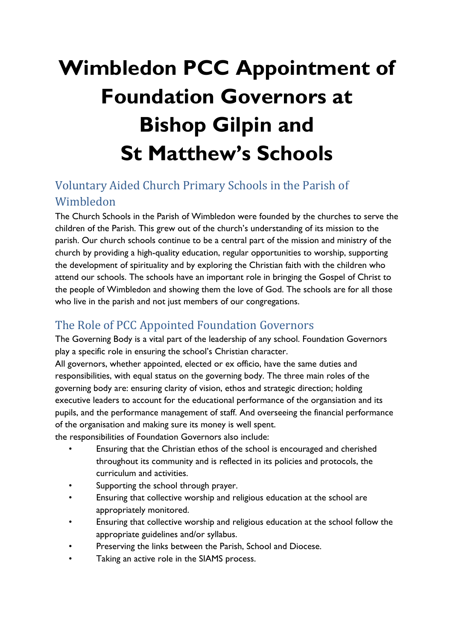# **Wimbledon PCC Appointment of Foundation Governors at Bishop Gilpin and St Matthew's Schools**

## Voluntary Aided Church Primary Schools in the Parish of Wimbledon

The Church Schools in the Parish of Wimbledon were founded by the churches to serve the children of the Parish. This grew out of the church's understanding of its mission to the parish. Our church schools continue to be a central part of the mission and ministry of the church by providing a high-quality education, regular opportunities to worship, supporting the development of spirituality and by exploring the Christian faith with the children who attend our schools. The schools have an important role in bringing the Gospel of Christ to the people of Wimbledon and showing them the love of God. The schools are for all those who live in the parish and not just members of our congregations.

### The Role of PCC Appointed Foundation Governors

The Governing Body is a vital part of the leadership of any school. Foundation Governors play a specific role in ensuring the school's Christian character.

All governors, whether appointed, elected or ex officio, have the same duties and responsibilities, with equal status on the governing body. The three main roles of the governing body are: ensuring clarity of vision, ethos and strategic direction; holding executive leaders to account for the educational performance of the organsiation and its pupils, and the performance management of staff. And overseeing the financial performance of the organisation and making sure its money is well spent.

the responsibilities of Foundation Governors also include:

- Ensuring that the Christian ethos of the school is encouraged and cherished throughout its community and is reflected in its policies and protocols, the curriculum and activities.
- Supporting the school through prayer.
- Ensuring that collective worship and religious education at the school are appropriately monitored.
- Ensuring that collective worship and religious education at the school follow the appropriate guidelines and/or syllabus.
- Preserving the links between the Parish, School and Diocese.
- Taking an active role in the SIAMS process.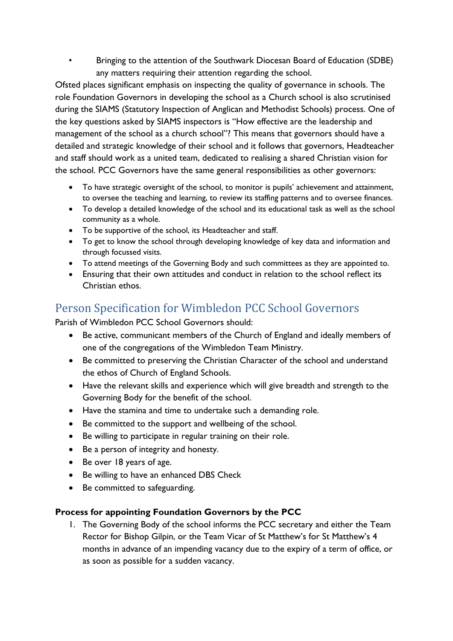• Bringing to the attention of the Southwark Diocesan Board of Education (SDBE) any matters requiring their attention regarding the school.

Ofsted places significant emphasis on inspecting the quality of governance in schools. The role Foundation Governors in developing the school as a Church school is also scrutinised during the SIAMS (Statutory Inspection of Anglican and Methodist Schools) process. One of the key questions asked by SIAMS inspectors is "How effective are the leadership and management of the school as a church school"? This means that governors should have a detailed and strategic knowledge of their school and it follows that governors, Headteacher and staff should work as a united team, dedicated to realising a shared Christian vision for the school. PCC Governors have the same general responsibilities as other governors:

- To have strategic oversight of the school, to monitor is pupils' achievement and attainment, to oversee the teaching and learning, to review its staffing patterns and to oversee finances.
- To develop a detailed knowledge of the school and its educational task as well as the school community as a whole.
- To be supportive of the school, its Headteacher and staff.
- To get to know the school through developing knowledge of key data and information and through focussed visits.
- To attend meetings of the Governing Body and such committees as they are appointed to.
- Ensuring that their own attitudes and conduct in relation to the school reflect its Christian ethos.

#### Person Specification for Wimbledon PCC School Governors

Parish of Wimbledon PCC School Governors should:

- Be active, communicant members of the Church of England and ideally members of one of the congregations of the Wimbledon Team Ministry.
- Be committed to preserving the Christian Character of the school and understand the ethos of Church of England Schools.
- Have the relevant skills and experience which will give breadth and strength to the Governing Body for the benefit of the school.
- Have the stamina and time to undertake such a demanding role.
- Be committed to the support and wellbeing of the school.
- Be willing to participate in regular training on their role.
- Be a person of integrity and honesty.
- Be over 18 years of age.
- Be willing to have an enhanced DBS Check
- Be committed to safeguarding.

#### **Process for appointing Foundation Governors by the PCC**

1. The Governing Body of the school informs the PCC secretary and either the Team Rector for Bishop Gilpin, or the Team Vicar of St Matthew's for St Matthew's 4 months in advance of an impending vacancy due to the expiry of a term of office, or as soon as possible for a sudden vacancy.